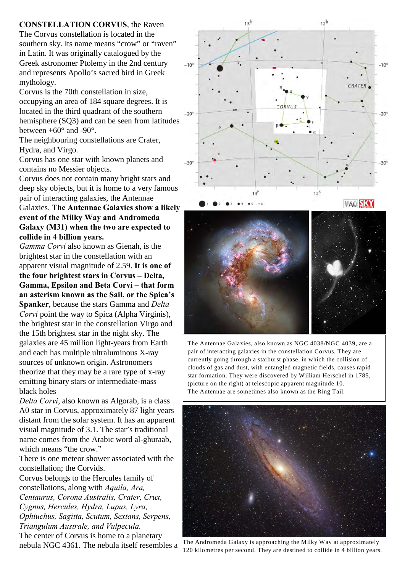**CONSTELLATION CORVUS**, the Raven The Corvus constellation is located in the southern sky. Its name means "crow" or "raven" in Latin. It was originally catalogued by the Greek astronomer Ptolemy in the 2nd century and represents Apollo's sacred bird in Greek mythology.

Corvus is the 70th constellation in size, occupying an area of 184 square degrees. It is located in the third quadrant of the southern hemisphere (SQ3) and can be seen from latitudes between  $+60^{\circ}$  and  $-90^{\circ}$ .

The neighbouring constellations are Crater, Hydra, and Virgo.

Corvus has one star with known planets and contains no Messier objects.

Corvus does not contain many bright stars and deep sky objects, but it is home to a very famous pair of interacting galaxies, the Antennae

## Galaxies. **The Antennae Galaxies show a likely event of the Milky Way and Andromeda Galaxy (M31) when the two are expected to collide in 4 billion years.**

*Gamma Corvi* also known as Gienah, is the brightest star in the constellation with an apparent visual magnitude of 2.59. **It is one of the four brightest stars in Corvus – Delta, Gamma, Epsilon and Beta Corvi – that form an asterism known as the Sail, or the Spica's Spanker**, because the stars Gamma and *Delta Corvi* point the way to Spica (Alpha Virginis), the brightest star in the constellation Virgo and the 15th brightest star in the night sky. The galaxies are 45 million light-years from Earth and each has multiple ultraluminous X-ray sources of unknown origin. Astronomers theorize that they may be a rare type of x-ray emitting binary stars or intermediate-mass black holes

*Delta Corvi*, also known as Algorab, is a class A0 star in Corvus, approximately 87 light years distant from the solar system. It has an apparent visual magnitude of 3.1. The star's traditional name comes from the Arabic word al-ghuraab, which means "the crow."

There is one meteor shower associated with the constellation; the Corvids.

Corvus belongs to the Hercules family of constellations, along with *Aquila, Ara, Centaurus, Corona Australis, Crater, Crux, Cygnus, Hercules, Hydra, Lupus, Lyra, Ophiuchus, Sagitta, Scutum, Sextans, Serpens, Triangulum Australe, and Vulpecula.*  The center of Corvus is home to a planetary nebula NGC 4361. The nebula itself resembles a



**ITAU SKY** 



The Antennae Galaxies, also known as NGC 4038/NGC 4039, are a pair of interacting galaxies in the constellation Corvus. They are currently going through a starburst phase, in which the collision of clouds of gas and dust, with entangled magnetic fields, causes rapid star formation. They were discovered by William Herschel in 1785, (picture on the right) at telescopic apparent magnitude 10. The Antennae are sometimes also known as the Ring Tail.



The Andromeda Galaxy is approaching the Milky Way at approximately 120 kilometres per second. They are destined to collide in 4 billion years.